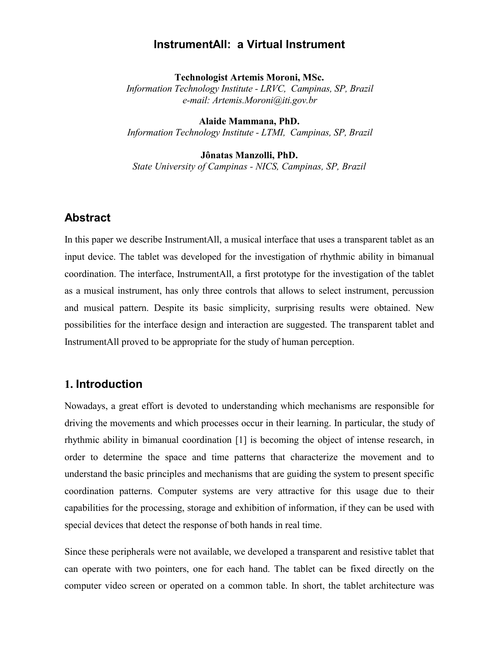## **InstrumentAll: a Virtual Instrument**

**Technologist Artemis Moroni, MSc.** *Information Technology Institute - LRVC, Campinas, SP, Brazil e-mail: Artemis.Moroni@iti.gov.br*

**Alaide Mammana, PhD.** *Information Technology Institute - LTMI, Campinas, SP, Brazil*

**Jônatas Manzolli, PhD.**

*State University of Campinas - NICS, Campinas, SP, Brazil*

# **Abstract**

In this paper we describe InstrumentAll, a musical interface that uses a transparent tablet as an input device. The tablet was developed for the investigation of rhythmic ability in bimanual coordination. The interface, InstrumentAll, a first prototype for the investigation of the tablet as a musical instrument, has only three controls that allows to select instrument, percussion and musical pattern. Despite its basic simplicity, surprising results were obtained. New possibilities for the interface design and interaction are suggested. The transparent tablet and InstrumentAll proved to be appropriate for the study of human perception.

# **1. Introduction**

Nowadays, a great effort is devoted to understanding which mechanisms are responsible for driving the movements and which processes occur in their learning. In particular, the study of rhythmic ability in bimanual coordination [1] is becoming the object of intense research, in order to determine the space and time patterns that characterize the movement and to understand the basic principles and mechanisms that are guiding the system to present specific coordination patterns. Computer systems are very attractive for this usage due to their capabilities for the processing, storage and exhibition of information, if they can be used with special devices that detect the response of both hands in real time.

Since these peripherals were not available, we developed a transparent and resistive tablet that can operate with two pointers, one for each hand. The tablet can be fixed directly on the computer video screen or operated on a common table. In short, the tablet architecture was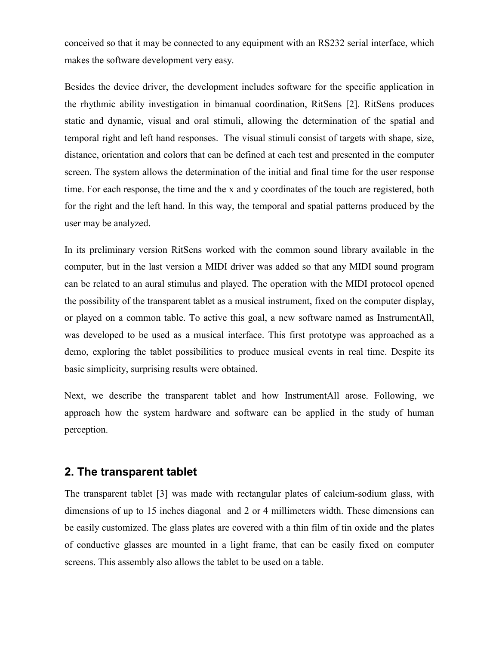conceived so that it may be connected to any equipment with an RS232 serial interface, which makes the software development very easy.

Besides the device driver, the development includes software for the specific application in the rhythmic ability investigation in bimanual coordination, RitSens [2]. RitSens produces static and dynamic, visual and oral stimuli, allowing the determination of the spatial and temporal right and left hand responses. The visual stimuli consist of targets with shape, size, distance, orientation and colors that can be defined at each test and presented in the computer screen. The system allows the determination of the initial and final time for the user response time. For each response, the time and the x and y coordinates of the touch are registered, both for the right and the left hand. In this way, the temporal and spatial patterns produced by the user may be analyzed.

In its preliminary version RitSens worked with the common sound library available in the computer, but in the last version a MIDI driver was added so that any MIDI sound program can be related to an aural stimulus and played. The operation with the MIDI protocol opened the possibility of the transparent tablet as a musical instrument, fixed on the computer display, or played on a common table. To active this goal, a new software named as InstrumentAll, was developed to be used as a musical interface. This first prototype was approached as a demo, exploring the tablet possibilities to produce musical events in real time. Despite its basic simplicity, surprising results were obtained.

Next, we describe the transparent tablet and how InstrumentAll arose. Following, we approach how the system hardware and software can be applied in the study of human perception.

## **2. The transparent tablet**

The transparent tablet [3] was made with rectangular plates of calcium-sodium glass, with dimensions of up to 15 inches diagonal and 2 or 4 millimeters width. These dimensions can be easily customized. The glass plates are covered with a thin film of tin oxide and the plates of conductive glasses are mounted in a light frame, that can be easily fixed on computer screens. This assembly also allows the tablet to be used on a table.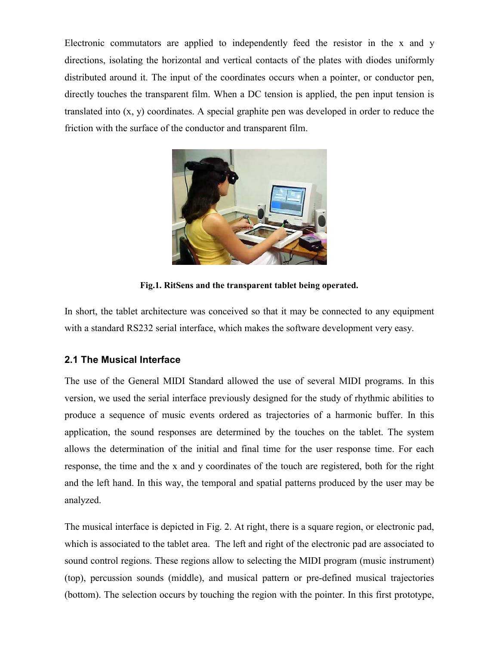Electronic commutators are applied to independently feed the resistor in the x and y directions, isolating the horizontal and vertical contacts of the plates with diodes uniformly distributed around it. The input of the coordinates occurs when a pointer, or conductor pen, directly touches the transparent film. When a DC tension is applied, the pen input tension is translated into (x, y) coordinates. A special graphite pen was developed in order to reduce the friction with the surface of the conductor and transparent film.



**Fig.1. RitSens and the transparent tablet being operated.**

In short, the tablet architecture was conceived so that it may be connected to any equipment with a standard RS232 serial interface, which makes the software development very easy.

# **2.1 The Musical Interface**

The use of the General MIDI Standard allowed the use of several MIDI programs. In this version, we used the serial interface previously designed for the study of rhythmic abilities to produce a sequence of music events ordered as trajectories of a harmonic buffer. In this application, the sound responses are determined by the touches on the tablet. The system allows the determination of the initial and final time for the user response time. For each response, the time and the x and y coordinates of the touch are registered, both for the right and the left hand. In this way, the temporal and spatial patterns produced by the user may be analyzed.

The musical interface is depicted in Fig. 2. At right, there is a square region, or electronic pad, which is associated to the tablet area. The left and right of the electronic pad are associated to sound control regions. These regions allow to selecting the MIDI program (music instrument) (top), percussion sounds (middle), and musical pattern or pre-defined musical trajectories (bottom). The selection occurs by touching the region with the pointer. In this first prototype,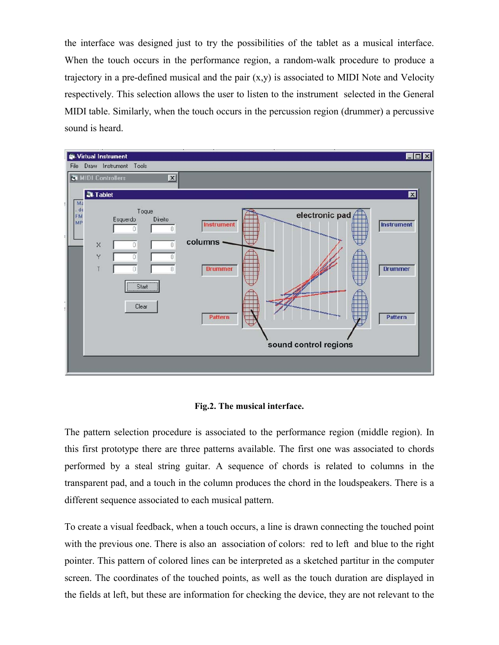the interface was designed just to try the possibilities of the tablet as a musical interface. When the touch occurs in the performance region, a random-walk procedure to produce a trajectory in a pre-defined musical and the pair  $(x,y)$  is associated to MIDI Note and Velocity respectively. This selection allows the user to listen to the instrument selected in the General MIDI table. Similarly, when the touch occurs in the percussion region (drummer) a percussive sound is heard.



#### **Fig.2. The musical interface.**

The pattern selection procedure is associated to the performance region (middle region). In this first prototype there are three patterns available. The first one was associated to chords performed by a steal string guitar. A sequence of chords is related to columns in the transparent pad, and a touch in the column produces the chord in the loudspeakers. There is a different sequence associated to each musical pattern.

To create a visual feedback, when a touch occurs, a line is drawn connecting the touched point with the previous one. There is also an association of colors: red to left and blue to the right pointer. This pattern of colored lines can be interpreted as a sketched partitur in the computer screen. The coordinates of the touched points, as well as the touch duration are displayed in the fields at left, but these are information for checking the device, they are not relevant to the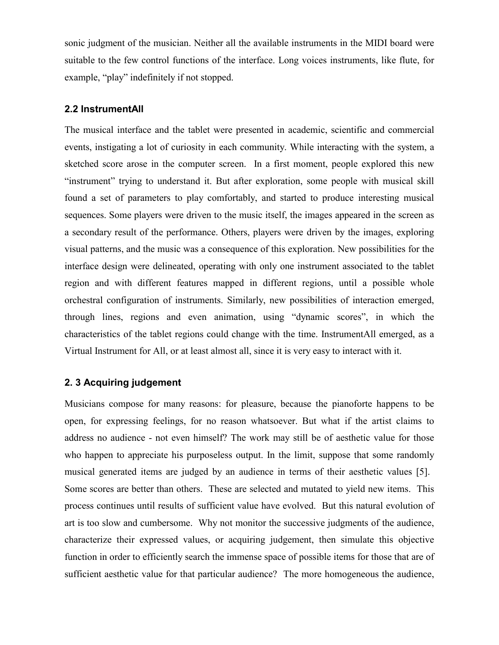sonic judgment of the musician. Neither all the available instruments in the MIDI board were suitable to the few control functions of the interface. Long voices instruments, like flute, for example, "play" indefinitely if not stopped.

### **2.2 InstrumentAll**

The musical interface and the tablet were presented in academic, scientific and commercial events, instigating a lot of curiosity in each community. While interacting with the system, a sketched score arose in the computer screen. In a first moment, people explored this new "instrument" trying to understand it. But after exploration, some people with musical skill found a set of parameters to play comfortably, and started to produce interesting musical sequences. Some players were driven to the music itself, the images appeared in the screen as a secondary result of the performance. Others, players were driven by the images, exploring visual patterns, and the music was a consequence of this exploration. New possibilities for the interface design were delineated, operating with only one instrument associated to the tablet region and with different features mapped in different regions, until a possible whole orchestral configuration of instruments. Similarly, new possibilities of interaction emerged, through lines, regions and even animation, using "dynamic scores", in which the characteristics of the tablet regions could change with the time. InstrumentAll emerged, as a Virtual Instrument for All, or at least almost all, since it is very easy to interact with it.

### **2. 3 Acquiring judgement**

Musicians compose for many reasons: for pleasure, because the pianoforte happens to be open, for expressing feelings, for no reason whatsoever. But what if the artist claims to address no audience - not even himself? The work may still be of aesthetic value for those who happen to appreciate his purposeless output. In the limit, suppose that some randomly musical generated items are judged by an audience in terms of their aesthetic values [5]. Some scores are better than others. These are selected and mutated to yield new items. This process continues until results of sufficient value have evolved. But this natural evolution of art is too slow and cumbersome. Why not monitor the successive judgments of the audience, characterize their expressed values, or acquiring judgement, then simulate this objective function in order to efficiently search the immense space of possible items for those that are of sufficient aesthetic value for that particular audience? The more homogeneous the audience,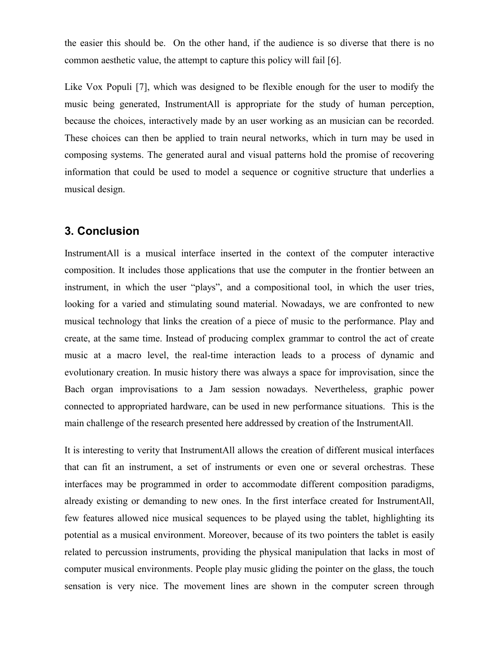the easier this should be. On the other hand, if the audience is so diverse that there is no common aesthetic value, the attempt to capture this policy will fail [6].

Like Vox Populi [7], which was designed to be flexible enough for the user to modify the music being generated, InstrumentAll is appropriate for the study of human perception, because the choices, interactively made by an user working as an musician can be recorded. These choices can then be applied to train neural networks, which in turn may be used in composing systems. The generated aural and visual patterns hold the promise of recovering information that could be used to model a sequence or cognitive structure that underlies a musical design.

## **3. Conclusion**

InstrumentAll is a musical interface inserted in the context of the computer interactive composition. It includes those applications that use the computer in the frontier between an instrument, in which the user "plays", and a compositional tool, in which the user tries, looking for a varied and stimulating sound material. Nowadays, we are confronted to new musical technology that links the creation of a piece of music to the performance. Play and create, at the same time. Instead of producing complex grammar to control the act of create music at a macro level, the real-time interaction leads to a process of dynamic and evolutionary creation. In music history there was always a space for improvisation, since the Bach organ improvisations to a Jam session nowadays. Nevertheless, graphic power connected to appropriated hardware, can be used in new performance situations. This is the main challenge of the research presented here addressed by creation of the InstrumentAll.

It is interesting to verity that InstrumentAll allows the creation of different musical interfaces that can fit an instrument, a set of instruments or even one or several orchestras. These interfaces may be programmed in order to accommodate different composition paradigms, already existing or demanding to new ones. In the first interface created for InstrumentAll, few features allowed nice musical sequences to be played using the tablet, highlighting its potential as a musical environment. Moreover, because of its two pointers the tablet is easily related to percussion instruments, providing the physical manipulation that lacks in most of computer musical environments. People play music gliding the pointer on the glass, the touch sensation is very nice. The movement lines are shown in the computer screen through